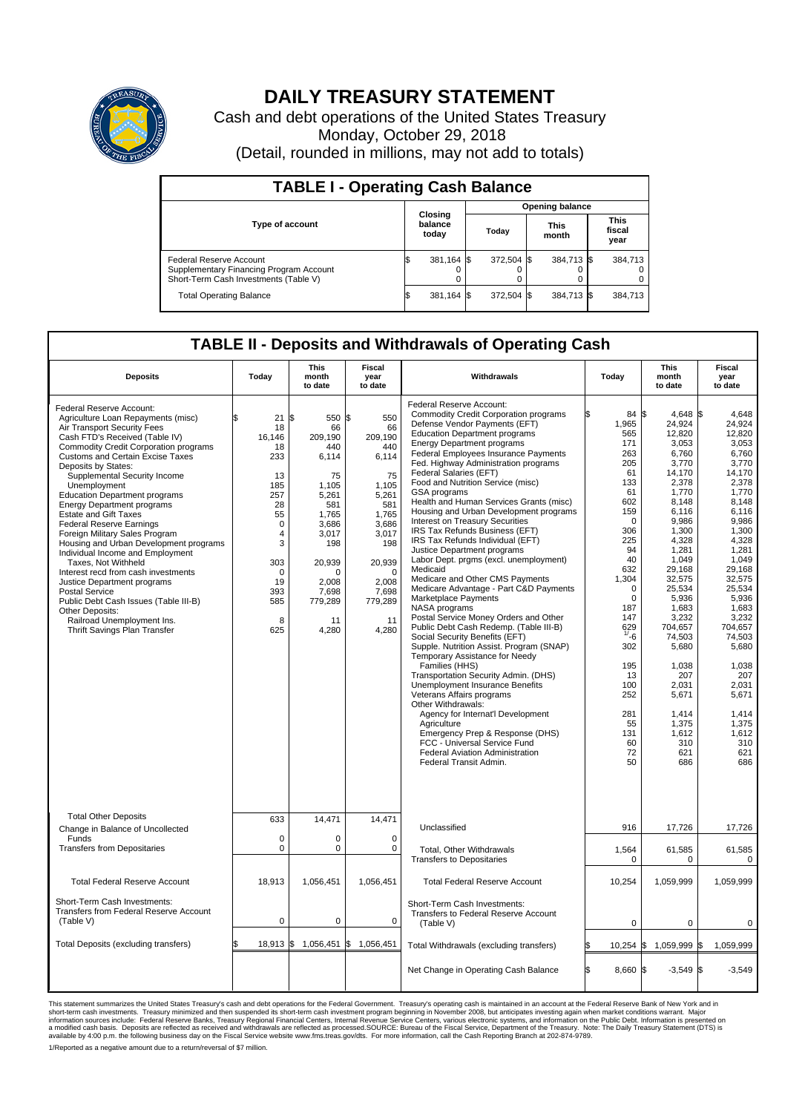

## **DAILY TREASURY STATEMENT**

Cash and debt operations of the United States Treasury Monday, October 29, 2018 (Detail, rounded in millions, may not add to totals)

| <b>TABLE I - Operating Cash Balance</b>                                                                     |    |                             |                        |            |  |                      |  |                               |  |
|-------------------------------------------------------------------------------------------------------------|----|-----------------------------|------------------------|------------|--|----------------------|--|-------------------------------|--|
|                                                                                                             |    |                             | <b>Opening balance</b> |            |  |                      |  |                               |  |
| <b>Type of account</b>                                                                                      |    | Closing<br>balance<br>today |                        | Today      |  | <b>This</b><br>month |  | <b>This</b><br>fiscal<br>year |  |
| Federal Reserve Account<br>Supplementary Financing Program Account<br>Short-Term Cash Investments (Table V) |    | 381,164 \$                  |                        | 372,504 \$ |  | 384,713 \$           |  | 384,713                       |  |
| <b>Total Operating Balance</b>                                                                              | ß. | 381,164 \$                  |                        | 372,504 \$ |  | 384,713 \$           |  | 384,713                       |  |

## **TABLE II - Deposits and Withdrawals of Operating Cash**

| <b>Deposits</b>                                                                                                                                                                                                                                                                                                                                                                                                                                                                                                                                                                                                                                                                                                                                                                                                   | Today                                                                                                                                            | <b>This</b><br>month<br>to date                                                                                                                                            | <b>Fiscal</b><br>year<br>to date                                                                                                                                           | Withdrawals                                                                                                                                                                                                                                                                                                                                                                                                                                                                                                                                                                                                                                                                                                                                                                                                                                                                                                                                                                                                                                                                                                                                                                                                                                                                                                                | Today                                                                                                                                                                                                                                                                       | <b>This</b><br>month<br>to date                                                                                                                                                                                                                                                                                               | <b>Fiscal</b><br>year<br>to date                                                                                                                                                                                                                                                                                         |
|-------------------------------------------------------------------------------------------------------------------------------------------------------------------------------------------------------------------------------------------------------------------------------------------------------------------------------------------------------------------------------------------------------------------------------------------------------------------------------------------------------------------------------------------------------------------------------------------------------------------------------------------------------------------------------------------------------------------------------------------------------------------------------------------------------------------|--------------------------------------------------------------------------------------------------------------------------------------------------|----------------------------------------------------------------------------------------------------------------------------------------------------------------------------|----------------------------------------------------------------------------------------------------------------------------------------------------------------------------|----------------------------------------------------------------------------------------------------------------------------------------------------------------------------------------------------------------------------------------------------------------------------------------------------------------------------------------------------------------------------------------------------------------------------------------------------------------------------------------------------------------------------------------------------------------------------------------------------------------------------------------------------------------------------------------------------------------------------------------------------------------------------------------------------------------------------------------------------------------------------------------------------------------------------------------------------------------------------------------------------------------------------------------------------------------------------------------------------------------------------------------------------------------------------------------------------------------------------------------------------------------------------------------------------------------------------|-----------------------------------------------------------------------------------------------------------------------------------------------------------------------------------------------------------------------------------------------------------------------------|-------------------------------------------------------------------------------------------------------------------------------------------------------------------------------------------------------------------------------------------------------------------------------------------------------------------------------|--------------------------------------------------------------------------------------------------------------------------------------------------------------------------------------------------------------------------------------------------------------------------------------------------------------------------|
| Federal Reserve Account:<br>Agriculture Loan Repayments (misc)<br>Air Transport Security Fees<br>Cash FTD's Received (Table IV)<br><b>Commodity Credit Corporation programs</b><br><b>Customs and Certain Excise Taxes</b><br>Deposits by States:<br>Supplemental Security Income<br>Unemployment<br><b>Education Department programs</b><br><b>Energy Department programs</b><br><b>Estate and Gift Taxes</b><br><b>Federal Reserve Earnings</b><br>Foreign Military Sales Program<br>Housing and Urban Development programs<br>Individual Income and Employment<br>Taxes. Not Withheld<br>Interest recd from cash investments<br>Justice Department programs<br><b>Postal Service</b><br>Public Debt Cash Issues (Table III-B)<br>Other Deposits:<br>Railroad Unemployment Ins.<br>Thrift Savings Plan Transfer | ፍ<br>21<br>18<br>16,146<br>18<br>233<br>13<br>185<br>257<br>28<br>55<br>$\Omega$<br>4<br>3<br>303<br>$\mathbf 0$<br>19<br>393<br>585<br>8<br>625 | l\$<br>550 \$<br>66<br>209.190<br>440<br>6,114<br>75<br>1.105<br>5,261<br>581<br>1,765<br>3.686<br>3,017<br>198<br>20,939<br>0<br>2,008<br>7.698<br>779,289<br>11<br>4,280 | 550<br>66<br>209.190<br>440<br>6,114<br>75<br>1.105<br>5,261<br>581<br>1,765<br>3,686<br>3,017<br>198<br>20,939<br>$\mathbf 0$<br>2,008<br>7,698<br>779,289<br>11<br>4,280 | Federal Reserve Account:<br><b>Commodity Credit Corporation programs</b><br>Defense Vendor Payments (EFT)<br><b>Education Department programs</b><br><b>Energy Department programs</b><br><b>Federal Employees Insurance Payments</b><br>Fed. Highway Administration programs<br>Federal Salaries (EFT)<br>Food and Nutrition Service (misc)<br><b>GSA</b> programs<br>Health and Human Services Grants (misc)<br>Housing and Urban Development programs<br>Interest on Treasury Securities<br>IRS Tax Refunds Business (EFT)<br>IRS Tax Refunds Individual (EFT)<br>Justice Department programs<br>Labor Dept. prgms (excl. unemployment)<br>Medicaid<br>Medicare and Other CMS Payments<br>Medicare Advantage - Part C&D Payments<br>Marketplace Payments<br>NASA programs<br>Postal Service Money Orders and Other<br>Public Debt Cash Redemp. (Table III-B)<br>Social Security Benefits (EFT)<br>Supple. Nutrition Assist. Program (SNAP)<br>Temporary Assistance for Needy<br>Families (HHS)<br>Transportation Security Admin. (DHS)<br>Unemployment Insurance Benefits<br>Veterans Affairs programs<br>Other Withdrawals:<br>Agency for Internat'l Development<br>Agriculture<br>Emergency Prep & Response (DHS)<br>FCC - Universal Service Fund<br><b>Federal Aviation Administration</b><br>Federal Transit Admin. | 84 \$<br>1,965<br>565<br>171<br>263<br>205<br>61<br>133<br>61<br>602<br>159<br>$\mathbf 0$<br>306<br>225<br>94<br>40<br>632<br>1,304<br>$\mathbf 0$<br>$\mathbf 0$<br>187<br>147<br>$629$<br>$1/56$<br>302<br>195<br>13<br>100<br>252<br>281<br>55<br>131<br>60<br>72<br>50 | $4,648$ \$<br>24.924<br>12,820<br>3,053<br>6,760<br>3,770<br>14,170<br>2,378<br>1,770<br>8.148<br>6,116<br>9,986<br>1,300<br>4,328<br>1,281<br>1,049<br>29,168<br>32,575<br>25,534<br>5,936<br>1,683<br>3,232<br>704,657<br>74,503<br>5,680<br>1,038<br>207<br>2,031<br>5,671<br>1,414<br>1,375<br>1,612<br>310<br>621<br>686 | 4.648<br>24.924<br>12,820<br>3,053<br>6,760<br>3,770<br>14,170<br>2,378<br>1.770<br>8.148<br>6,116<br>9,986<br>1.300<br>4,328<br>1,281<br>1,049<br>29,168<br>32,575<br>25,534<br>5,936<br>1.683<br>3,232<br>704,657<br>74,503<br>5.680<br>1.038<br>207<br>2.031<br>5,671<br>1,414<br>1,375<br>1,612<br>310<br>621<br>686 |
| <b>Total Other Deposits</b><br>Change in Balance of Uncollected                                                                                                                                                                                                                                                                                                                                                                                                                                                                                                                                                                                                                                                                                                                                                   | 633                                                                                                                                              | 14,471                                                                                                                                                                     | 14,471                                                                                                                                                                     | Unclassified                                                                                                                                                                                                                                                                                                                                                                                                                                                                                                                                                                                                                                                                                                                                                                                                                                                                                                                                                                                                                                                                                                                                                                                                                                                                                                               | 916                                                                                                                                                                                                                                                                         | 17,726                                                                                                                                                                                                                                                                                                                        | 17,726                                                                                                                                                                                                                                                                                                                   |
| Funds<br><b>Transfers from Depositaries</b>                                                                                                                                                                                                                                                                                                                                                                                                                                                                                                                                                                                                                                                                                                                                                                       | $\mathbf 0$<br>$\mathbf 0$                                                                                                                       | $\Omega$<br>0                                                                                                                                                              | 0<br>$\mathbf 0$                                                                                                                                                           | Total, Other Withdrawals                                                                                                                                                                                                                                                                                                                                                                                                                                                                                                                                                                                                                                                                                                                                                                                                                                                                                                                                                                                                                                                                                                                                                                                                                                                                                                   | 1,564                                                                                                                                                                                                                                                                       | 61,585                                                                                                                                                                                                                                                                                                                        | 61,585                                                                                                                                                                                                                                                                                                                   |
|                                                                                                                                                                                                                                                                                                                                                                                                                                                                                                                                                                                                                                                                                                                                                                                                                   |                                                                                                                                                  |                                                                                                                                                                            |                                                                                                                                                                            | <b>Transfers to Depositaries</b>                                                                                                                                                                                                                                                                                                                                                                                                                                                                                                                                                                                                                                                                                                                                                                                                                                                                                                                                                                                                                                                                                                                                                                                                                                                                                           | $\mathbf 0$                                                                                                                                                                                                                                                                 | $\mathbf 0$                                                                                                                                                                                                                                                                                                                   | $\mathbf 0$                                                                                                                                                                                                                                                                                                              |
| <b>Total Federal Reserve Account</b>                                                                                                                                                                                                                                                                                                                                                                                                                                                                                                                                                                                                                                                                                                                                                                              | 18,913                                                                                                                                           | 1,056,451                                                                                                                                                                  | 1,056,451                                                                                                                                                                  | <b>Total Federal Reserve Account</b>                                                                                                                                                                                                                                                                                                                                                                                                                                                                                                                                                                                                                                                                                                                                                                                                                                                                                                                                                                                                                                                                                                                                                                                                                                                                                       | 10,254                                                                                                                                                                                                                                                                      | 1,059,999                                                                                                                                                                                                                                                                                                                     | 1,059,999                                                                                                                                                                                                                                                                                                                |
| Short-Term Cash Investments:<br><b>Transfers from Federal Reserve Account</b><br>(Table V)                                                                                                                                                                                                                                                                                                                                                                                                                                                                                                                                                                                                                                                                                                                        | $\mathbf 0$                                                                                                                                      | 0                                                                                                                                                                          | $\mathbf 0$                                                                                                                                                                | Short-Term Cash Investments:<br>Transfers to Federal Reserve Account<br>(Table V)                                                                                                                                                                                                                                                                                                                                                                                                                                                                                                                                                                                                                                                                                                                                                                                                                                                                                                                                                                                                                                                                                                                                                                                                                                          | $\Omega$                                                                                                                                                                                                                                                                    | 0                                                                                                                                                                                                                                                                                                                             | 0                                                                                                                                                                                                                                                                                                                        |
| Total Deposits (excluding transfers)                                                                                                                                                                                                                                                                                                                                                                                                                                                                                                                                                                                                                                                                                                                                                                              | 18,913 \$                                                                                                                                        |                                                                                                                                                                            | 1,056,451 \$ 1,056,451                                                                                                                                                     | Total Withdrawals (excluding transfers)                                                                                                                                                                                                                                                                                                                                                                                                                                                                                                                                                                                                                                                                                                                                                                                                                                                                                                                                                                                                                                                                                                                                                                                                                                                                                    | $10,254$ \$                                                                                                                                                                                                                                                                 | 1,059,999 \$                                                                                                                                                                                                                                                                                                                  | 1.059.999                                                                                                                                                                                                                                                                                                                |
|                                                                                                                                                                                                                                                                                                                                                                                                                                                                                                                                                                                                                                                                                                                                                                                                                   |                                                                                                                                                  |                                                                                                                                                                            |                                                                                                                                                                            | Net Change in Operating Cash Balance                                                                                                                                                                                                                                                                                                                                                                                                                                                                                                                                                                                                                                                                                                                                                                                                                                                                                                                                                                                                                                                                                                                                                                                                                                                                                       | ß.<br>8,660 \$                                                                                                                                                                                                                                                              | $-3,549$ \$                                                                                                                                                                                                                                                                                                                   | $-3,549$                                                                                                                                                                                                                                                                                                                 |

This statement summarizes the United States Treasury's cash and debt operations for the Federal Government. Treasury operating in November 2008, but anticinates investing again when market conditions warrant. Major York an

1/Reported as a negative amount due to a return/reversal of \$7 million.